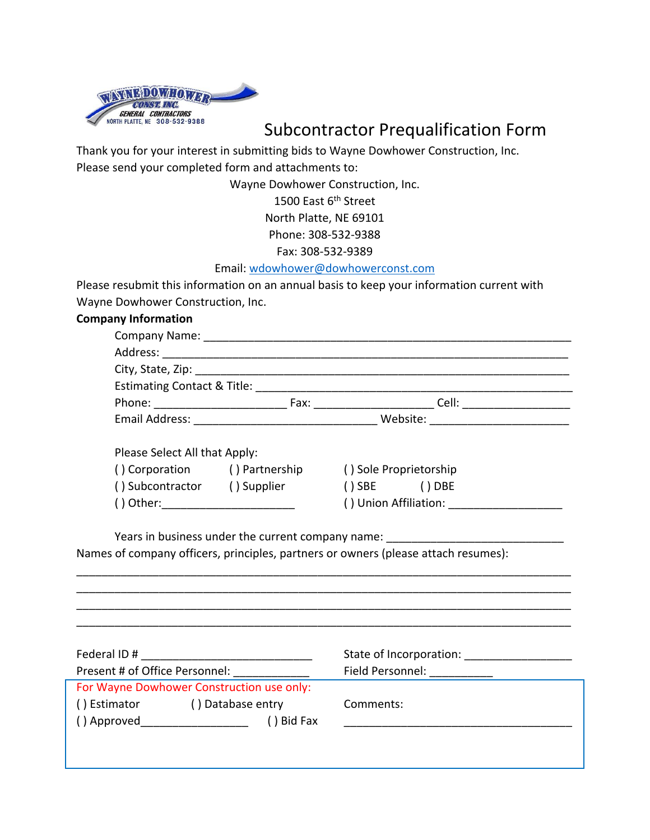

Subcontractor Prequalification Form

Thank you for your interest in submitting bids to Wayne Dowhower Construction, Inc. Please send your completed form and attachments to:

Wayne Dowhower Construction, Inc.

1500 East 6<sup>th</sup> Street

North Platte, NE 69101

Phone: 308-532-9388

Fax: 308-532-9389

## Email: [wdowhower@dowhowerconst.com](mailto:wdowhower@dowhowerconst.com)

Please resubmit this information on an annual basis to keep your information current with Wayne Dowhower Construction, Inc.

## **Company Information**

| Federal ID#<br>Present # of Office Personnel: |                                           | State of Incorporation: |  |
|-----------------------------------------------|-------------------------------------------|-------------------------|--|
|                                               |                                           | Field Personnel:        |  |
|                                               | For Wayne Dowhower Construction use only: |                         |  |
| () Estimator                                  | () Database entry                         | Comments:               |  |
| () Approved                                   | ) Bid Fax                                 |                         |  |
|                                               |                                           |                         |  |
|                                               |                                           |                         |  |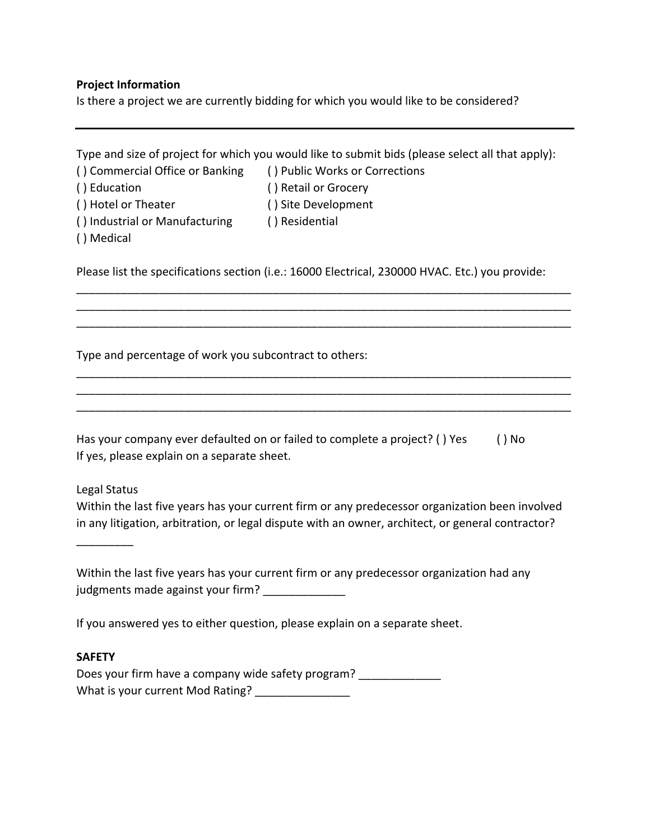# **Project Information**

Is there a project we are currently bidding for which you would like to be considered?

|                                                                                                                                                                                                     | Type and size of project for which you would like to submit bids (please select all that apply): |  |  |
|-----------------------------------------------------------------------------------------------------------------------------------------------------------------------------------------------------|--------------------------------------------------------------------------------------------------|--|--|
| () Commercial Office or Banking                                                                                                                                                                     | () Public Works or Corrections                                                                   |  |  |
| () Education                                                                                                                                                                                        | () Retail or Grocery                                                                             |  |  |
| () Hotel or Theater                                                                                                                                                                                 | () Site Development                                                                              |  |  |
| () Industrial or Manufacturing<br>() Medical                                                                                                                                                        | () Residential                                                                                   |  |  |
|                                                                                                                                                                                                     | Please list the specifications section (i.e.: 16000 Electrical, 230000 HVAC. Etc.) you provide:  |  |  |
|                                                                                                                                                                                                     |                                                                                                  |  |  |
| Type and percentage of work you subcontract to others:                                                                                                                                              |                                                                                                  |  |  |
|                                                                                                                                                                                                     |                                                                                                  |  |  |
|                                                                                                                                                                                                     |                                                                                                  |  |  |
| If yes, please explain on a separate sheet.                                                                                                                                                         | Has your company ever defaulted on or failed to complete a project? () Yes<br>$()$ No            |  |  |
| Legal Status                                                                                                                                                                                        |                                                                                                  |  |  |
| Within the last five years has your current firm or any predecessor organization been involved<br>in any litigation, arbitration, or legal dispute with an owner, architect, or general contractor? |                                                                                                  |  |  |
|                                                                                                                                                                                                     |                                                                                                  |  |  |
| Within the last five years has your current firm or any predecessor organization had any<br>judgments made against your firm? _______________                                                       |                                                                                                  |  |  |
|                                                                                                                                                                                                     | If you answered yes to either question, please explain on a separate sheet.                      |  |  |
| <b>SAFETY</b>                                                                                                                                                                                       |                                                                                                  |  |  |
| Does your firm have a company wide safety program? _____________<br>What is your current Mod Rating? ________________                                                                               |                                                                                                  |  |  |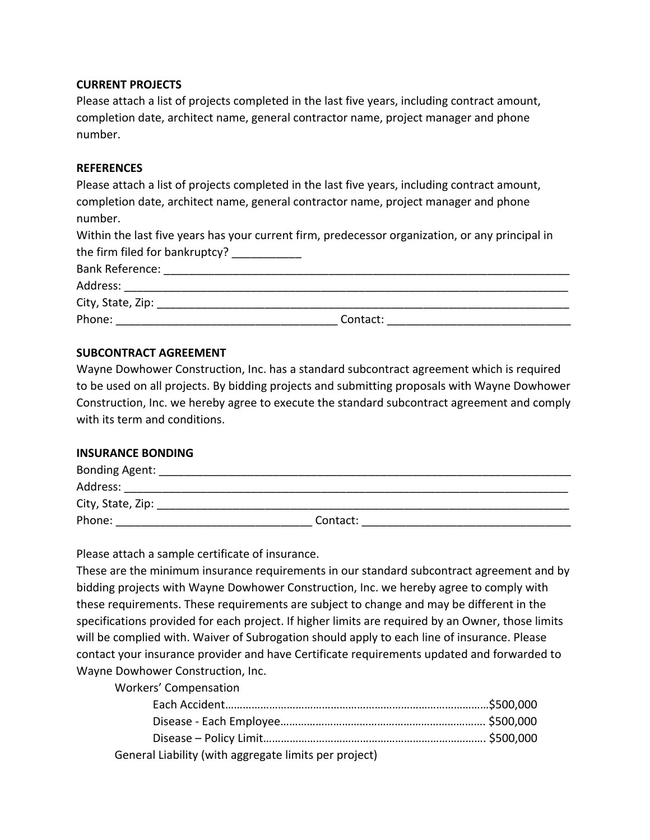#### **CURRENT PROJECTS**

Please attach a list of projects completed in the last five years, including contract amount, completion date, architect name, general contractor name, project manager and phone number.

#### **REFERENCES**

Please attach a list of projects completed in the last five years, including contract amount, completion date, architect name, general contractor name, project manager and phone number. Within the last five years has your current firm, predecessor organization, or any principal in the firm filed for bankruptcy? \_\_\_\_\_\_\_\_\_\_ Bank Reference: **Example 2018** Address: \_\_\_\_\_\_\_\_\_\_\_\_\_\_\_\_\_\_\_\_\_\_\_\_\_\_\_\_\_\_\_\_\_\_\_\_\_\_\_\_\_\_\_\_\_\_\_\_\_\_\_\_\_\_\_\_\_\_\_\_\_\_\_\_\_\_\_\_\_\_ City, State, Zip: \_\_\_\_\_\_\_\_\_\_\_\_\_\_\_\_\_\_\_\_\_\_\_\_\_\_\_\_\_\_\_\_\_\_\_\_\_\_\_\_\_\_\_\_\_\_\_\_\_\_\_\_\_\_\_\_\_\_\_\_\_\_\_\_\_ Phone: The contact:  $\blacksquare$ 

### **SUBCONTRACT AGREEMENT**

Wayne Dowhower Construction, Inc. has a standard subcontract agreement which is required to be used on all projects. By bidding projects and submitting proposals with Wayne Dowhower Construction, Inc. we hereby agree to execute the standard subcontract agreement and comply with its term and conditions.

#### **INSURANCE BONDING**

| Bonding Agent:    |          |  |
|-------------------|----------|--|
| Address:          |          |  |
| City, State, Zip: |          |  |
| Phone:            | Contact: |  |
|                   |          |  |

Please attach a sample certificate of insurance.

These are the minimum insurance requirements in our standard subcontract agreement and by bidding projects with Wayne Dowhower Construction, Inc. we hereby agree to comply with these requirements. These requirements are subject to change and may be different in the specifications provided for each project. If higher limits are required by an Owner, those limits will be complied with. Waiver of Subrogation should apply to each line of insurance. Please contact your insurance provider and have Certificate requirements updated and forwarded to Wayne Dowhower Construction, Inc.

Workers' Compensation

| General Liability (with aggregate limits per project) |  |
|-------------------------------------------------------|--|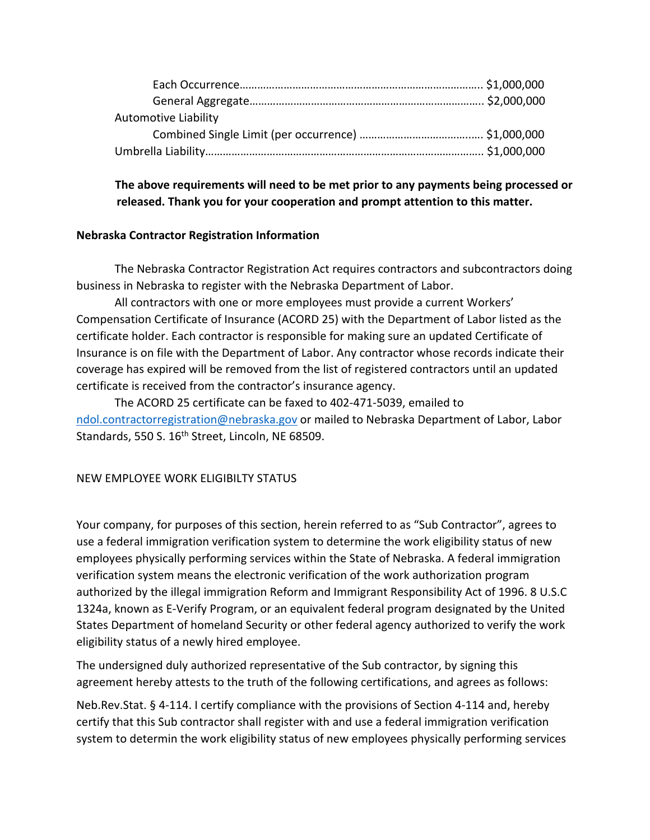| <b>Automotive Liability</b> |  |
|-----------------------------|--|
|                             |  |
|                             |  |

**The above requirements will need to be met prior to any payments being processed or released. Thank you for your cooperation and prompt attention to this matter.**

## **Nebraska Contractor Registration Information**

The Nebraska Contractor Registration Act requires contractors and subcontractors doing business in Nebraska to register with the Nebraska Department of Labor.

All contractors with one or more employees must provide a current Workers' Compensation Certificate of Insurance (ACORD 25) with the Department of Labor listed as the certificate holder. Each contractor is responsible for making sure an updated Certificate of Insurance is on file with the Department of Labor. Any contractor whose records indicate their coverage has expired will be removed from the list of registered contractors until an updated certificate is received from the contractor's insurance agency.

The ACORD 25 certificate can be faxed to 402-471-5039, emailed to [ndol.contractorregistration@nebraska.gov](mailto:ndol.contractorregistration@nebraska.gov) or mailed to Nebraska Department of Labor, Labor Standards, 550 S. 16<sup>th</sup> Street, Lincoln, NE 68509.

# NEW EMPLOYEE WORK ELIGIBILTY STATUS

Your company, for purposes of this section, herein referred to as "Sub Contractor", agrees to use a federal immigration verification system to determine the work eligibility status of new employees physically performing services within the State of Nebraska. A federal immigration verification system means the electronic verification of the work authorization program authorized by the illegal immigration Reform and Immigrant Responsibility Act of 1996. 8 U.S.C 1324a, known as E-Verify Program, or an equivalent federal program designated by the United States Department of homeland Security or other federal agency authorized to verify the work eligibility status of a newly hired employee.

The undersigned duly authorized representative of the Sub contractor, by signing this agreement hereby attests to the truth of the following certifications, and agrees as follows:

Neb.Rev.Stat. § 4-114. I certify compliance with the provisions of Section 4-114 and, hereby certify that this Sub contractor shall register with and use a federal immigration verification system to determin the work eligibility status of new employees physically performing services